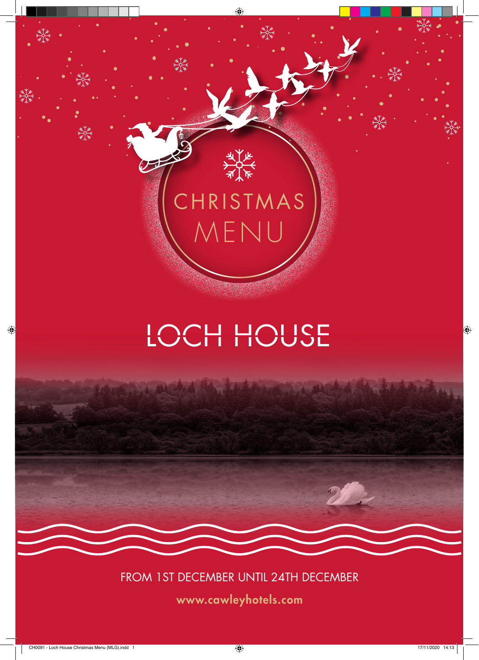

# CHRISTMAS MENU

# LOCH HOUSE

FROM 1ST DECEMBER UNTIL 24TH DECEMBER

www.cawleyhotels.com